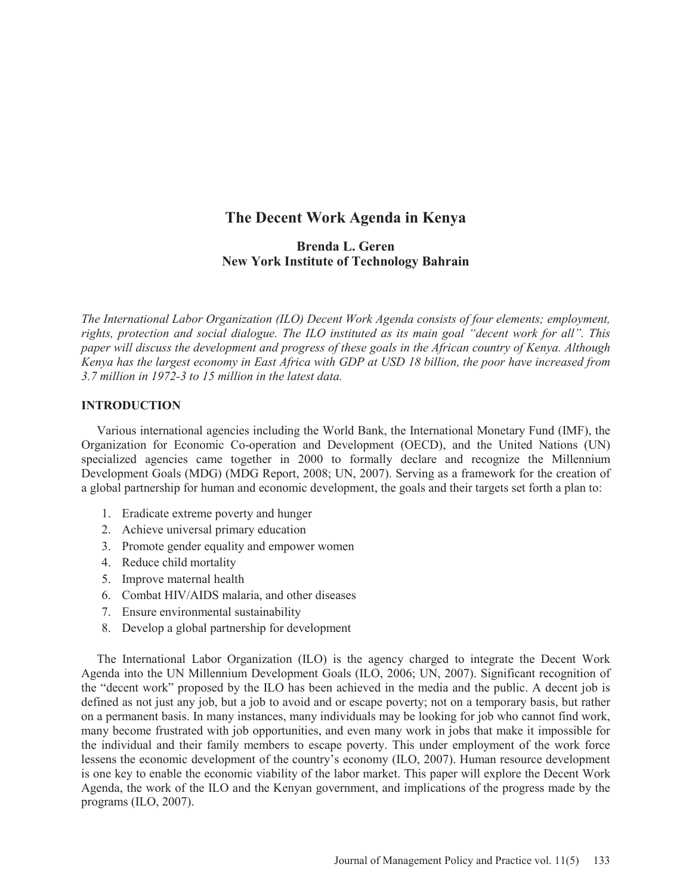# **The Decent Work Agenda in Kenya**

## **Brenda L. Geren New York Institute of Technology Bahrain**

*The International Labor Organization (ILO) Decent Work Agenda consists of four elements; employment, rights, protection and social dialogue. The ILO instituted as its main goal "decent work for all". This paper will discuss the development and progress of these goals in the African country of Kenya. Although Kenya has the largest economy in East Africa with GDP at USD 18 billion, the poor have increased from 3.7 million in 1972-3 to 15 million in the latest data.* 

#### **INTRODUCTION**

 Various international agencies including the World Bank, the International Monetary Fund (IMF), the Organization for Economic Co-operation and Development (OECD), and the United Nations (UN) specialized agencies came together in 2000 to formally declare and recognize the Millennium Development Goals (MDG) (MDG Report, 2008; UN, 2007). Serving as a framework for the creation of a global partnership for human and economic development, the goals and their targets set forth a plan to:

- 1. Eradicate extreme poverty and hunger
- 2. Achieve universal primary education
- 3. Promote gender equality and empower women
- 4. Reduce child mortality
- 5. Improve maternal health
- 6. Combat HIV/AIDS malaria, and other diseases
- 7. Ensure environmental sustainability
- 8. Develop a global partnership for development

 The International Labor Organization (ILO) is the agency charged to integrate the Decent Work Agenda into the UN Millennium Development Goals (ILO, 2006; UN, 2007). Significant recognition of the "decent work" proposed by the ILO has been achieved in the media and the public. A decent job is defined as not just any job, but a job to avoid and or escape poverty; not on a temporary basis, but rather on a permanent basis. In many instances, many individuals may be looking for job who cannot find work, many become frustrated with job opportunities, and even many work in jobs that make it impossible for the individual and their family members to escape poverty. This under employment of the work force lessens the economic development of the country's economy (ILO, 2007). Human resource development is one key to enable the economic viability of the labor market. This paper will explore the Decent Work Agenda, the work of the ILO and the Kenyan government, and implications of the progress made by the programs (ILO, 2007).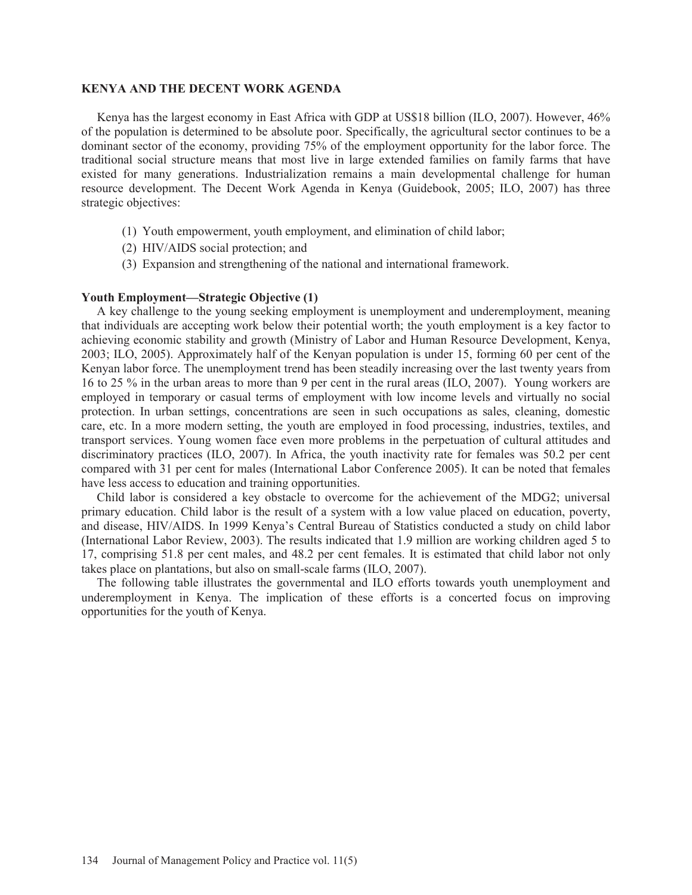#### **KENYA AND THE DECENT WORK AGENDA**

 Kenya has the largest economy in East Africa with GDP at US\$18 billion (ILO, 2007). However, 46% of the population is determined to be absolute poor. Specifically, the agricultural sector continues to be a dominant sector of the economy, providing 75% of the employment opportunity for the labor force. The traditional social structure means that most live in large extended families on family farms that have existed for many generations. Industrialization remains a main developmental challenge for human resource development. The Decent Work Agenda in Kenya (Guidebook, 2005; ILO, 2007) has three strategic objectives:

- (1) Youth empowerment, youth employment, and elimination of child labor;
- (2) HIV/AIDS social protection; and
- (3) Expansion and strengthening of the national and international framework.

#### **Youth Employment—Strategic Objective (1)**

 A key challenge to the young seeking employment is unemployment and underemployment, meaning that individuals are accepting work below their potential worth; the youth employment is a key factor to achieving economic stability and growth (Ministry of Labor and Human Resource Development, Kenya, 2003; ILO, 2005). Approximately half of the Kenyan population is under 15, forming 60 per cent of the Kenyan labor force. The unemployment trend has been steadily increasing over the last twenty years from 16 to 25 % in the urban areas to more than 9 per cent in the rural areas (ILO, 2007). Young workers are employed in temporary or casual terms of employment with low income levels and virtually no social protection. In urban settings, concentrations are seen in such occupations as sales, cleaning, domestic care, etc. In a more modern setting, the youth are employed in food processing, industries, textiles, and transport services. Young women face even more problems in the perpetuation of cultural attitudes and discriminatory practices (ILO, 2007). In Africa, the youth inactivity rate for females was 50.2 per cent compared with 31 per cent for males (International Labor Conference 2005). It can be noted that females have less access to education and training opportunities.

 Child labor is considered a key obstacle to overcome for the achievement of the MDG2; universal primary education. Child labor is the result of a system with a low value placed on education, poverty, and disease, HIV/AIDS. In 1999 Kenya's Central Bureau of Statistics conducted a study on child labor (International Labor Review, 2003). The results indicated that 1.9 million are working children aged 5 to 17, comprising 51.8 per cent males, and 48.2 per cent females. It is estimated that child labor not only takes place on plantations, but also on small-scale farms (ILO, 2007).

 The following table illustrates the governmental and ILO efforts towards youth unemployment and underemployment in Kenya. The implication of these efforts is a concerted focus on improving opportunities for the youth of Kenya.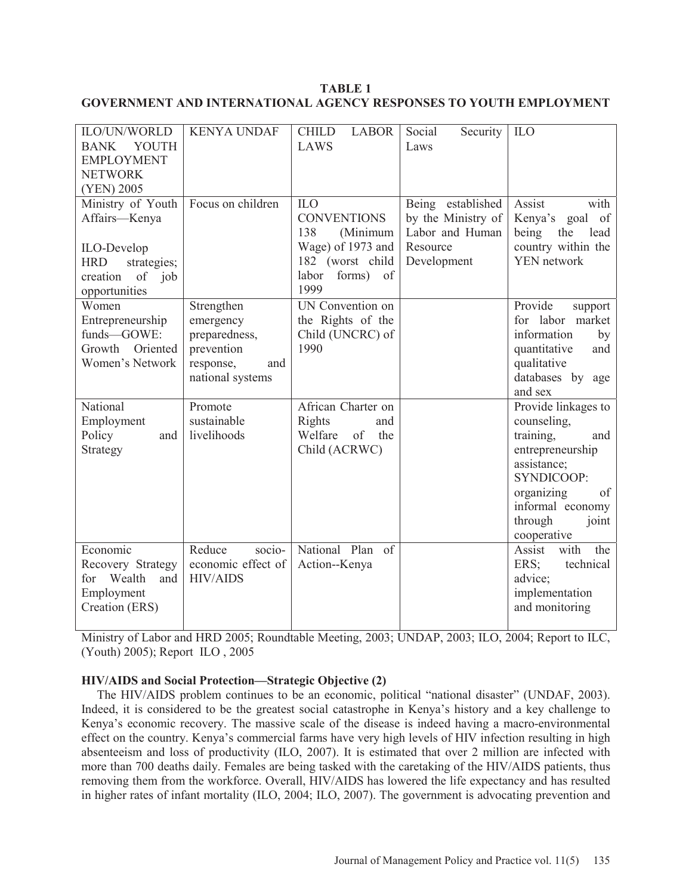## **TABLE 1 GOVERNMENT AND INTERNATIONAL AGENCY RESPONSES TO YOUTH EMPLOYMENT**

| ILO/UN/WORLD<br>YOUTH<br><b>BANK</b><br><b>EMPLOYMENT</b><br><b>NETWORK</b><br>(YEN) 2005                             | <b>KENYA UNDAF</b>                                                                             | <b>CHILD</b><br><b>LABOR</b><br>LAWS                                                                                | Social<br>Security<br>Laws                                                            | ILO                                                                                                                                                                                |
|-----------------------------------------------------------------------------------------------------------------------|------------------------------------------------------------------------------------------------|---------------------------------------------------------------------------------------------------------------------|---------------------------------------------------------------------------------------|------------------------------------------------------------------------------------------------------------------------------------------------------------------------------------|
| Ministry of Youth<br>Affairs-Kenya<br>ILO-Develop<br><b>HRD</b><br>strategies;<br>of job<br>creation<br>opportunities | Focus on children                                                                              | ILO<br><b>CONVENTIONS</b><br>138<br>(Minimum<br>Wage) of 1973 and<br>182 (worst child<br>forms) of<br>labor<br>1999 | Being established<br>by the Ministry of<br>Labor and Human<br>Resource<br>Development | Assist<br>with<br>Kenya's<br>goal<br>of<br>being<br>the<br>lead<br>country within the<br>YEN network                                                                               |
| Women<br>Entrepreneurship<br>funds-GOWE:<br>Growth Oriented<br>Women's Network                                        | Strengthen<br>emergency<br>preparedness,<br>prevention<br>response,<br>and<br>national systems | UN Convention on<br>the Rights of the<br>Child (UNCRC) of<br>1990                                                   |                                                                                       | Provide<br>support<br>for labor market<br>information<br>by<br>quantitative<br>and<br>qualitative<br>databases by<br>age<br>and sex                                                |
| National<br>Employment<br>Policy<br>and<br>Strategy                                                                   | Promote<br>sustainable<br>livelihoods                                                          | African Charter on<br>Rights<br>and<br>Welfare<br>of<br>the<br>Child (ACRWC)                                        |                                                                                       | Provide linkages to<br>counseling,<br>training,<br>and<br>entrepreneurship<br>assistance;<br>SYNDICOOP:<br>organizing<br>of<br>informal economy<br>through<br>joint<br>cooperative |
| Economic<br>Recovery Strategy<br>Wealth<br>for<br>and<br>Employment<br>Creation (ERS)                                 | Reduce<br>socio-<br>economic effect of<br><b>HIV/AIDS</b>                                      | National Plan of<br>Action--Kenya                                                                                   |                                                                                       | Assist<br>with<br>the<br>technical<br>ERS;<br>advice;<br>implementation<br>and monitoring                                                                                          |

Ministry of Labor and HRD 2005; Roundtable Meeting, 2003; UNDAP, 2003; ILO, 2004; Report to ILC, (Youth) 2005); Report ILO , 2005

## **HIV/AIDS and Social Protection—Strategic Objective (2)**

 The HIV/AIDS problem continues to be an economic, political "national disaster" (UNDAF, 2003). Indeed, it is considered to be the greatest social catastrophe in Kenya's history and a key challenge to Kenya's economic recovery. The massive scale of the disease is indeed having a macro-environmental effect on the country. Kenya's commercial farms have very high levels of HIV infection resulting in high absenteeism and loss of productivity (ILO, 2007). It is estimated that over 2 million are infected with more than 700 deaths daily. Females are being tasked with the caretaking of the HIV/AIDS patients, thus removing them from the workforce. Overall, HIV/AIDS has lowered the life expectancy and has resulted in higher rates of infant mortality (ILO, 2004; ILO, 2007). The government is advocating prevention and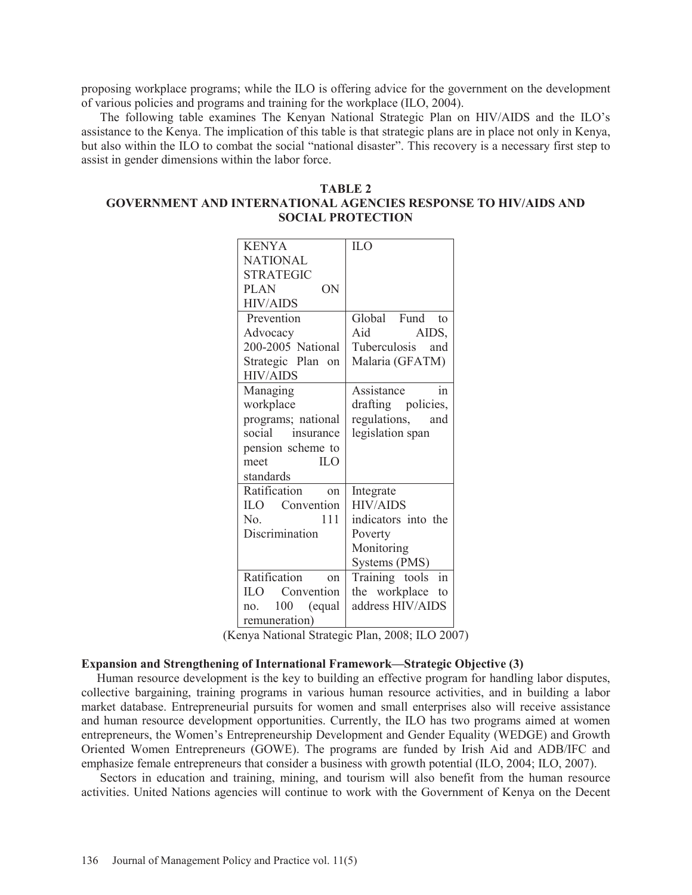proposing workplace programs; while the ILO is offering advice for the government on the development of various policies and programs and training for the workplace (ILO, 2004).

 The following table examines The Kenyan National Strategic Plan on HIV/AIDS and the ILO's assistance to the Kenya. The implication of this table is that strategic plans are in place not only in Kenya, but also within the ILO to combat the social "national disaster". This recovery is a necessary first step to assist in gender dimensions within the labor force.

| TABLE 2                                                        |  |  |  |  |
|----------------------------------------------------------------|--|--|--|--|
| GOVERNMENT AND INTERNATIONAL AGENCIES RESPONSE TO HIV/AIDS AND |  |  |  |  |
| <b>SOCIAL PROTECTION</b>                                       |  |  |  |  |

| <b>KENYA</b>             | <b>ILO</b>                     |  |
|--------------------------|--------------------------------|--|
| <b>NATIONAL</b>          |                                |  |
| <b>STRATEGIC</b>         |                                |  |
| PLAN<br>ON               |                                |  |
| <b>HIV/AIDS</b>          |                                |  |
| Prevention               | Global Fund to                 |  |
| Advocacy                 | Aid<br>AIDS,                   |  |
| 200-2005 National        | Tuberculosis and               |  |
| Strategic Plan on        | Malaria (GFATM)                |  |
| <b>HIV/AIDS</b>          |                                |  |
| Managing                 | Assistance<br>in               |  |
| workplace                | drafting policies,             |  |
| programs; national       | regulations,<br>and            |  |
| social insurance         | legislation span               |  |
| pension scheme to        |                                |  |
| ILO<br>meet              |                                |  |
| standards                |                                |  |
| Ratification<br>$\alpha$ | Integrate                      |  |
| ILO Convention           | <b>HIV/AIDS</b>                |  |
| 111<br>No.               | indicators into the            |  |
| Discrimination           | Poverty                        |  |
|                          | Monitoring                     |  |
|                          | Systems (PMS)                  |  |
| Ratification on          | in<br>Training tools           |  |
| <b>ILO</b> Convention    | the workplace<br>$\mathsf{to}$ |  |
| 100 (equal<br>$n_{0}$    | address HIV/AIDS               |  |
| remuneration)            |                                |  |

(Kenya National Strategic Plan, 2008; ILO 2007)

#### **Expansion and Strengthening of International Framework—Strategic Objective (3)**

 Human resource development is the key to building an effective program for handling labor disputes, collective bargaining, training programs in various human resource activities, and in building a labor market database. Entrepreneurial pursuits for women and small enterprises also will receive assistance and human resource development opportunities. Currently, the ILO has two programs aimed at women entrepreneurs, the Women's Entrepreneurship Development and Gender Equality (WEDGE) and Growth Oriented Women Entrepreneurs (GOWE). The programs are funded by Irish Aid and ADB/IFC and emphasize female entrepreneurs that consider a business with growth potential (ILO, 2004; ILO, 2007).

 Sectors in education and training, mining, and tourism will also benefit from the human resource activities. United Nations agencies will continue to work with the Government of Kenya on the Decent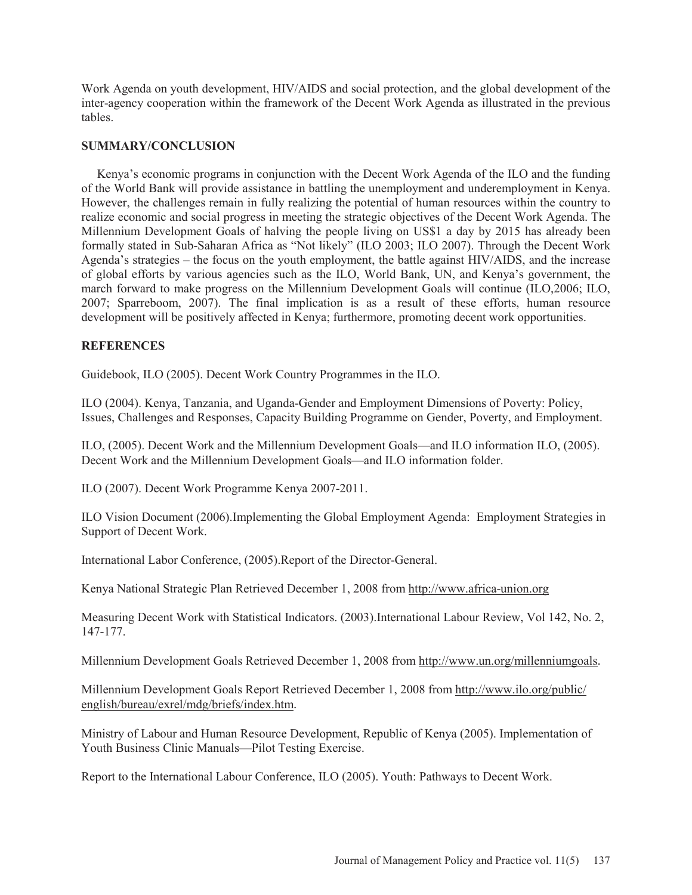Work Agenda on youth development, HIV/AIDS and social protection, and the global development of the inter-agency cooperation within the framework of the Decent Work Agenda as illustrated in the previous tables.

## **SUMMARY/CONCLUSION**

 Kenya's economic programs in conjunction with the Decent Work Agenda of the ILO and the funding of the World Bank will provide assistance in battling the unemployment and underemployment in Kenya. However, the challenges remain in fully realizing the potential of human resources within the country to realize economic and social progress in meeting the strategic objectives of the Decent Work Agenda. The Millennium Development Goals of halving the people living on US\$1 a day by 2015 has already been formally stated in Sub-Saharan Africa as "Not likely" (ILO 2003; ILO 2007). Through the Decent Work Agenda's strategies – the focus on the youth employment, the battle against HIV/AIDS, and the increase of global efforts by various agencies such as the ILO, World Bank, UN, and Kenya's government, the march forward to make progress on the Millennium Development Goals will continue (ILO,2006; ILO, 2007; Sparreboom, 2007). The final implication is as a result of these efforts, human resource development will be positively affected in Kenya; furthermore, promoting decent work opportunities.

## **REFERENCES**

Guidebook, ILO (2005). Decent Work Country Programmes in the ILO.

ILO (2004). Kenya, Tanzania, and Uganda-Gender and Employment Dimensions of Poverty: Policy, Issues, Challenges and Responses, Capacity Building Programme on Gender, Poverty, and Employment.

ILO, (2005). Decent Work and the Millennium Development Goals—and ILO information ILO, (2005). Decent Work and the Millennium Development Goals—and ILO information folder.

ILO (2007). Decent Work Programme Kenya 2007-2011.

ILO Vision Document (2006).Implementing the Global Employment Agenda: Employment Strategies in Support of Decent Work.

International Labor Conference, (2005).Report of the Director-General.

Kenya National Strategic Plan Retrieved December 1, 2008 from http://www.africa-union.org

Measuring Decent Work with Statistical Indicators. (2003).International Labour Review, Vol 142, No. 2, 147-177.

Millennium Development Goals Retrieved December 1, 2008 from http://www.un.org/millenniumgoals.

Millennium Development Goals Report Retrieved December 1, 2008 from http://www.ilo.org/public/ english/bureau/exrel/mdg/briefs/index.htm.

Ministry of Labour and Human Resource Development, Republic of Kenya (2005). Implementation of Youth Business Clinic Manuals—Pilot Testing Exercise.

Report to the International Labour Conference, ILO (2005). Youth: Pathways to Decent Work.